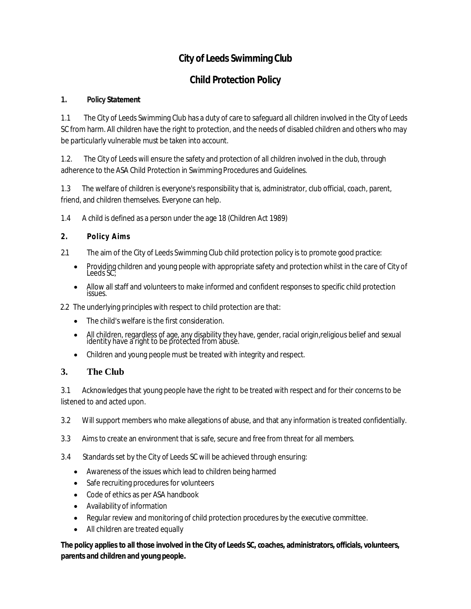## **City of Leeds Swimming Club**

## **Child Protection Policy**

#### **1. Policy Statement**

1.1 The City of Leeds Swimming Club has a duty of care to safeguard all children involved in the City of Leeds SC from harm. All children have the right to protection, and the needs of disabled children and others who may be particularly vulnerable must be taken into account.

1.2. The City of Leeds will ensure the safety and protection of all children involved in the club, through adherence to the ASA Child Protection in Swimming Procedures and Guidelines.

1.3 The welfare of children is everyone's responsibility that is, administrator, club official, coach, parent, friend, and children themselves. Everyone can help.

- 1.4 A child is defined as a person under the age 18 (Children Act 1989)
- **2. Policy Aims**
- 2.1 The aim of the City of Leeds Swimming Club child protection policy is to promote good practice:
	- Providing children and young people with appropriate safety and protection whilst in the care of City of Leeds SC;
	- Allow all staff and volunteers to make informed and confident responses to specific child protection issues.

2.2 The underlying principles with respect to child protection are that:

- The child's welfare is the first consideration.
- All children, regardless of age, any disability they have, gender, racial origin,religious belief and sexual identity have a right to be protected from abuse.
- Children and young people must be treated with integrity and respect.

### **3. The Club**

3.1 Acknowledges that young people have the right to be treated with respect and for their concerns to be listened to and acted upon.

3.2 Will support members who make allegations of abuse, and that any information is treated confidentially.

- 3.3 Aims to create an environment that is safe, secure and free from threat for all members.
- 3.4 Standards set by the City of Leeds SC will be achieved through ensuring:
	- Awareness of the issues which lead to children being harmed
	- Safe recruiting procedures for volunteers
	- Code of ethics as per ASA handbook
	- Availability of information
	- Regular review and monitoring of child protection procedures by the executive committee.
	- All children are treated equally

**The policy applies to all those involved in the City of Leeds SC, coaches, administrators, officials, volunteers, parents and children and young people.**